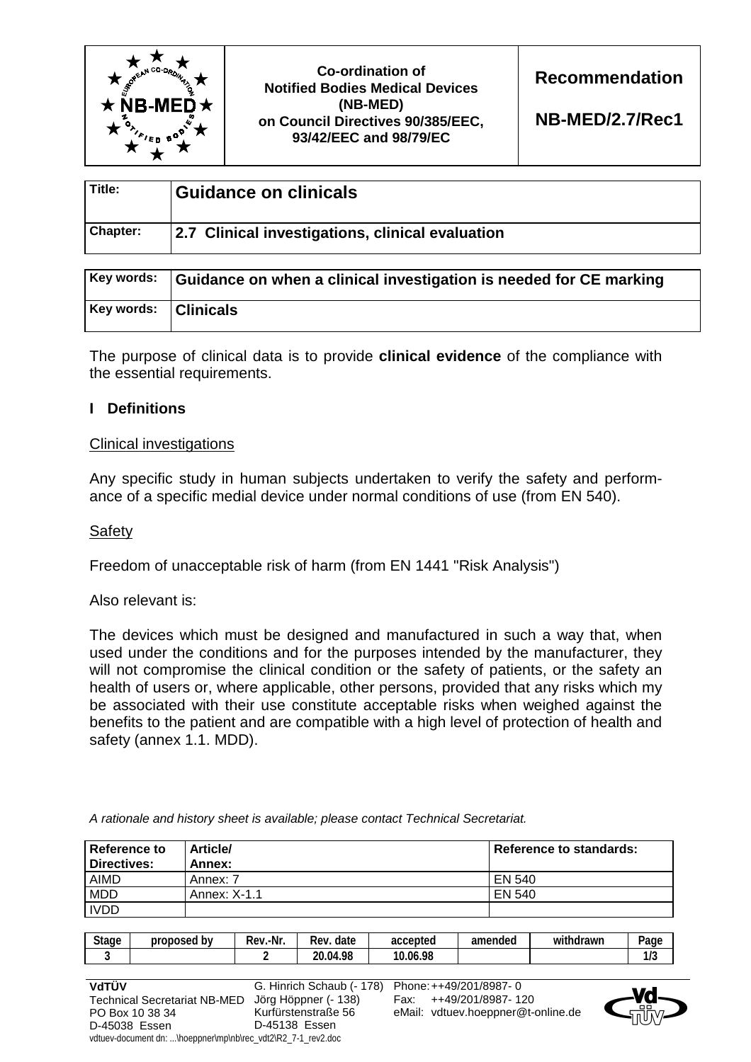

**Co-ordination of Notified Bodies Medical Devices (NB-MED) on Council Directives 90/385/EEC, 93/42/EEC and 98/79/EC** 

**Recommendation** 

**NB-MED/2.7/Rec1**

| Title:   | <b>Guidance on clinicals</b>                     |
|----------|--------------------------------------------------|
| Chapter: | 2.7 Clinical investigations, clinical evaluation |

|                        | Key words: Guidance on when a clinical investigation is needed for CE marking |
|------------------------|-------------------------------------------------------------------------------|
| Key words:   Clinicals |                                                                               |

The purpose of clinical data is to provide **clinical evidence** of the compliance with the essential requirements.

# **I Definitions**

### Clinical investigations

Any specific study in human subjects undertaken to verify the safety and performance of a specific medial device under normal conditions of use (from EN 540).

## **Safety**

Freedom of unacceptable risk of harm (from EN 1441 "Risk Analysis")

Also relevant is:

The devices which must be designed and manufactured in such a way that, when used under the conditions and for the purposes intended by the manufacturer, they will not compromise the clinical condition or the safety of patients, or the safety an health of users or, where applicable, other persons, provided that any risks which my be associated with their use constitute acceptable risks when weighed against the benefits to the patient and are compatible with a high level of protection of health and safety (annex 1.1. MDD).

*A rationale and history sheet is available; please contact Technical Secretariat.* 

| <b>Reference to</b><br>Directives: | <b>Article/</b><br>Annex: | <b>Reference to standards:</b> |
|------------------------------------|---------------------------|--------------------------------|
| <b>AIMD</b>                        | Annex: 7                  | EN 540                         |
| <b>MDD</b>                         | Annex: X-1.1              | EN 540                         |
| <b>IVDD</b>                        |                           |                                |

| <b>Stage</b>                                                | proposed by                                                  | Rev.-Nr. | Rev. date                 | accepted | amended                            | withdrawn | Page |
|-------------------------------------------------------------|--------------------------------------------------------------|----------|---------------------------|----------|------------------------------------|-----------|------|
| 3                                                           |                                                              |          | 20.04.98                  | 10.06.98 |                                    |           | 1/3  |
|                                                             |                                                              |          |                           |          |                                    |           |      |
| VdTÜV                                                       |                                                              |          | G. Hinrich Schaub (- 178) |          | Phone: ++49/201/8987-0             |           |      |
| Jörg Höppner (- 138)<br><b>Technical Secretariat NB-MED</b> |                                                              |          |                           | Fax:     | ++49/201/8987-120                  |           |      |
|                                                             | PO Box 10 38 34                                              |          | Kurfürstenstraße 56       |          | eMail: vdtuev.hoeppner@t-online.de |           |      |
| D-45038 Essen                                               |                                                              |          | D-45138 Essen             |          |                                    |           |      |
|                                                             | vdtuev-document dn: \hoeppner\mp\nb\rec_vdt2\R2_7-1_rev2.doc |          |                           |          |                                    |           |      |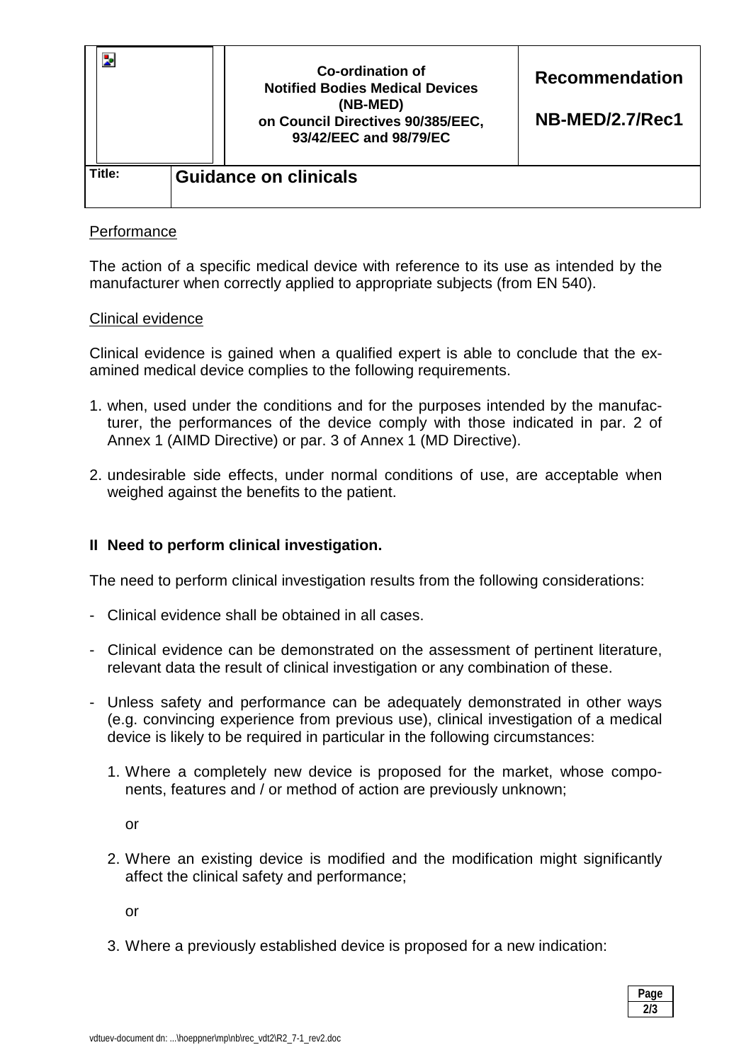|        |  | Co-ordination of<br><b>Notified Bodies Medical Devices</b><br>(NB-MED)<br>on Council Directives 90/385/EEC,<br>93/42/EEC and 98/79/EC | <b>Recommendation</b><br>NB-MED/2.7/Rec1 |
|--------|--|---------------------------------------------------------------------------------------------------------------------------------------|------------------------------------------|
| Title: |  | <b>Guidance on clinicals</b>                                                                                                          |                                          |

## **Performance**

The action of a specific medical device with reference to its use as intended by the manufacturer when correctly applied to appropriate subjects (from EN 540).

### Clinical evidence

Clinical evidence is gained when a qualified expert is able to conclude that the examined medical device complies to the following requirements.

- 1. when, used under the conditions and for the purposes intended by the manufacturer, the performances of the device comply with those indicated in par. 2 of Annex 1 (AIMD Directive) or par. 3 of Annex 1 (MD Directive).
- 2. undesirable side effects, under normal conditions of use, are acceptable when weighed against the benefits to the patient.

### **II Need to perform clinical investigation.**

The need to perform clinical investigation results from the following considerations:

- Clinical evidence shall be obtained in all cases.
- Clinical evidence can be demonstrated on the assessment of pertinent literature, relevant data the result of clinical investigation or any combination of these.
- Unless safety and performance can be adequately demonstrated in other ways (e.g. convincing experience from previous use), clinical investigation of a medical device is likely to be required in particular in the following circumstances:
	- 1. Where a completely new device is proposed for the market, whose components, features and / or method of action are previously unknown;

or

2. Where an existing device is modified and the modification might significantly affect the clinical safety and performance;

or

3. Where a previously established device is proposed for a new indication:

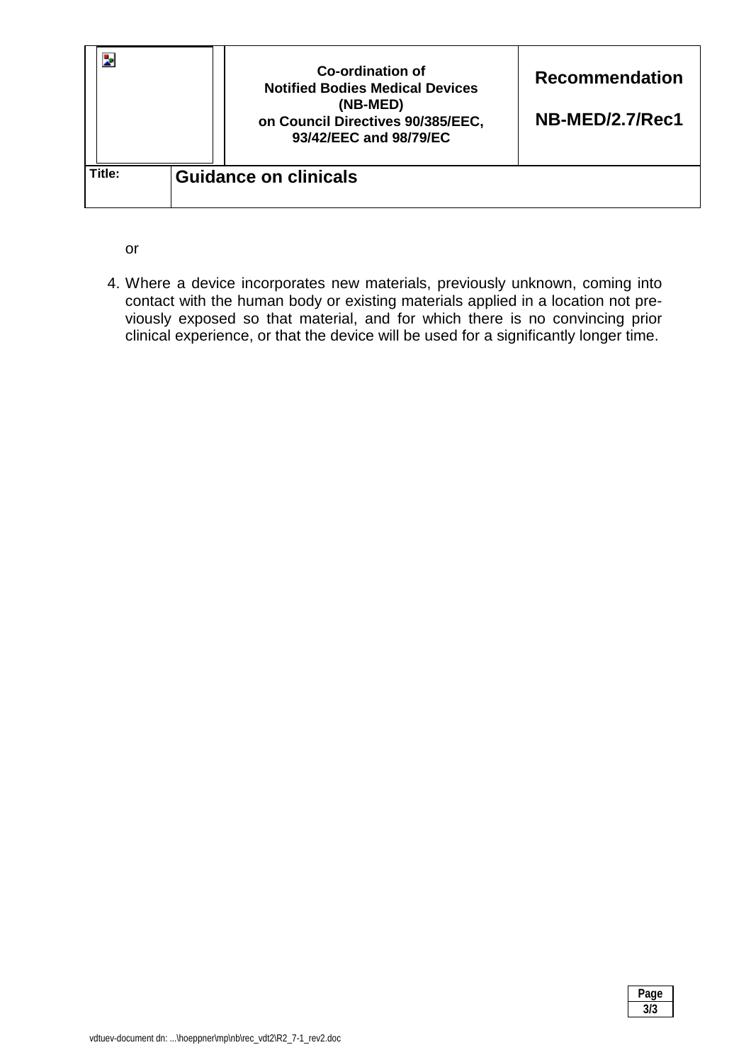|        |  | Co-ordination of<br><b>Notified Bodies Medical Devices</b><br>(NB-MED)<br>on Council Directives 90/385/EEC,<br>93/42/EEC and 98/79/EC | <b>Recommendation</b><br>NB-MED/2.7/Rec1 |  |
|--------|--|---------------------------------------------------------------------------------------------------------------------------------------|------------------------------------------|--|
| Title: |  | <b>Guidance on clinicals</b>                                                                                                          |                                          |  |

or

4. Where a device incorporates new materials, previously unknown, coming into contact with the human body or existing materials applied in a location not previously exposed so that material, and for which there is no convincing prior clinical experience, or that the device will be used for a significantly longer time.